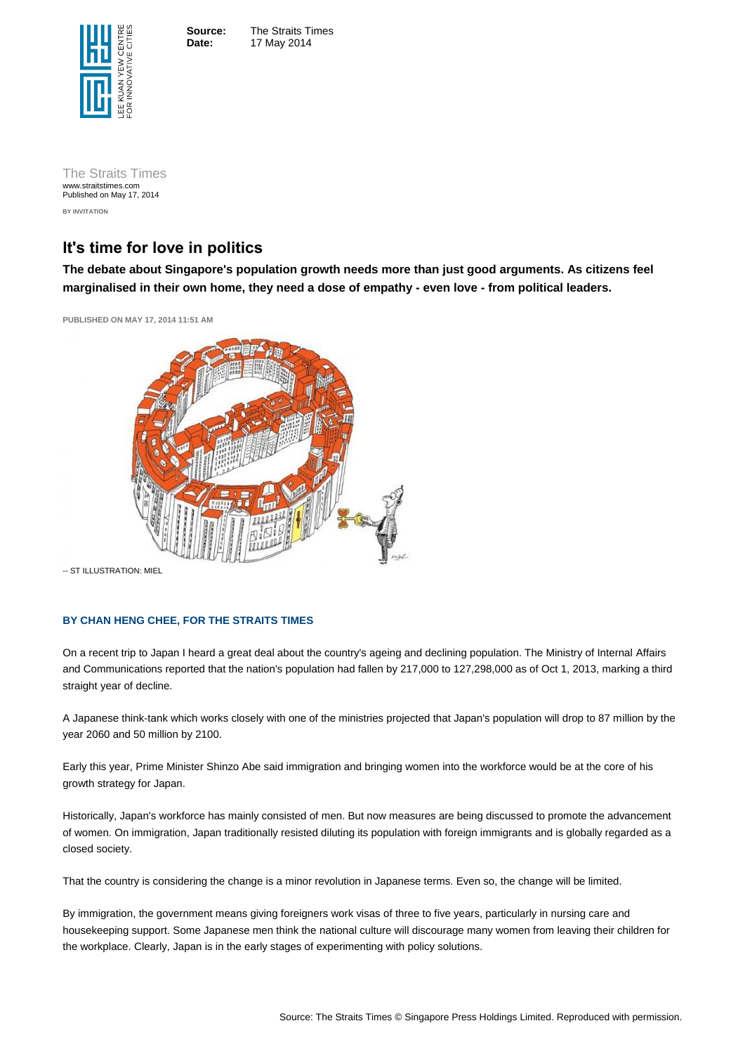**Source:** The Straits Times **Date:** 17 May 2014

Source: The Straits Times © Singapore Press Holdings Limited. Reproduced with permission.

The Straits Times www.straitstimes.com Published on May 17, 2014 **BY INVITATION**

# **It's time for love in politics**

**The debate about Singapore's population growth needs more than just good arguments. As citizens feel marginalised in their own home, they need a dose of empathy - even love - from political leaders.**

**PUBLISHED ON MAY 17, 2014 11:51 AM** 



-- ST ILLUSTRATION: MIEL

## **BY CHAN HENG CHEE, FOR THE STRAITS TIMES**

On a recent trip to Japan I heard a great deal about the country's ageing and declining population. The Ministry of Internal Affairs and Communications reported that the nation's population had fallen by 217,000 to 127,298,000 as of Oct 1, 2013, marking a third straight year of decline.

A Japanese think-tank which works closely with one of the ministries projected that Japan's population will drop to 87 million by the year 2060 and 50 million by 2100.

Early this year, Prime Minister Shinzo Abe said immigration and bringing women into the workforce would be at the core of his growth strategy for Japan.

Historically, Japan's workforce has mainly consisted of men. But now measures are being discussed to promote the advancement of women. On immigration, Japan traditionally resisted diluting its population with foreign immigrants and is globally regarded as a closed society.

That the country is considering the change is a minor revolution in Japanese terms. Even so, the change will be limited.

By immigration, the government means giving foreigners work visas of three to five years, particularly in nursing care and housekeeping support. Some Japanese men think the national culture will discourage many women from leaving their children for the workplace. Clearly, Japan is in the early stages of experimenting with policy solutions.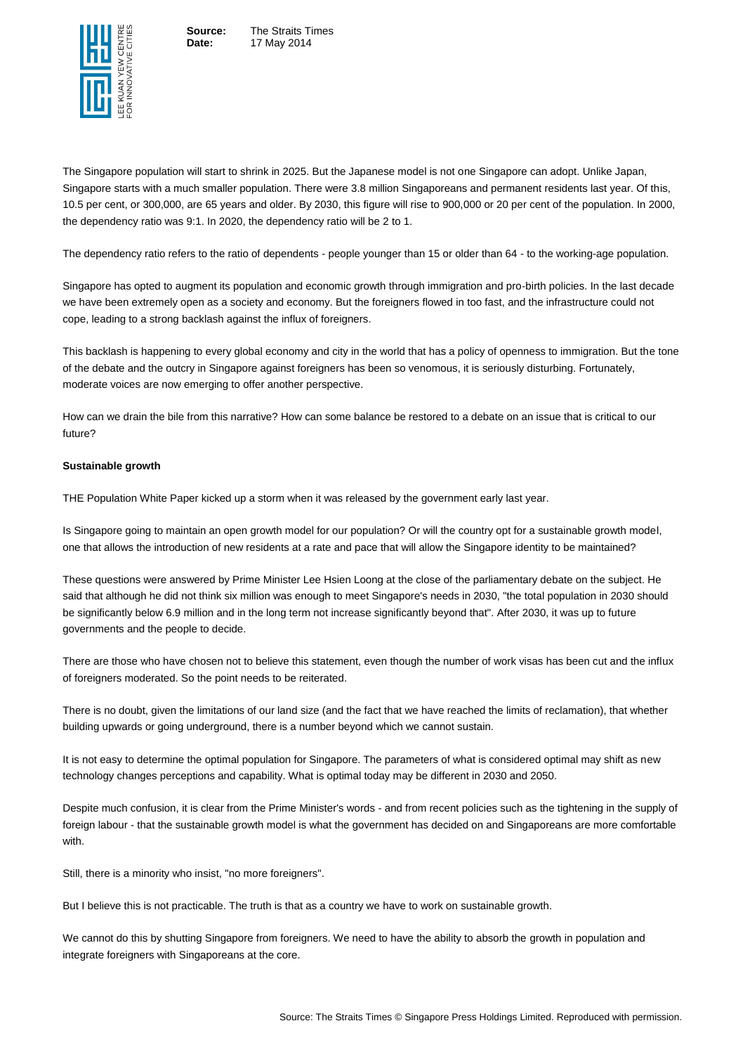Ξ

**Source:** The Straits Times **Date:** 17 May 2014

Source: The Straits Times © Singapore Press Holdings Limited. Reproduced with permission.

The Singapore population will start to shrink in 2025. But the Japanese model is not one Singapore can adopt. Unlike Japan, Singapore starts with a much smaller population. There were 3.8 million Singaporeans and permanent residents last year. Of this, 10.5 per cent, or 300,000, are 65 years and older. By 2030, this figure will rise to 900,000 or 20 per cent of the population. In 2000, the dependency ratio was 9:1. In 2020, the dependency ratio will be 2 to 1.

The dependency ratio refers to the ratio of dependents - people younger than 15 or older than 64 - to the working-age population.

Singapore has opted to augment its population and economic growth through immigration and pro-birth policies. In the last decade we have been extremely open as a society and economy. But the foreigners flowed in too fast, and the infrastructure could not cope, leading to a strong backlash against the influx of foreigners.

This backlash is happening to every global economy and city in the world that has a policy of openness to immigration. But the tone of the debate and the outcry in Singapore against foreigners has been so venomous, it is seriously disturbing. Fortunately, moderate voices are now emerging to offer another perspective.

How can we drain the bile from this narrative? How can some balance be restored to a debate on an issue that is critical to our future?

#### **Sustainable growth**

THE Population White Paper kicked up a storm when it was released by the government early last year.

Is Singapore going to maintain an open growth model for our population? Or will the country opt for a sustainable growth model, one that allows the introduction of new residents at a rate and pace that will allow the Singapore identity to be maintained?

These questions were answered by Prime Minister Lee Hsien Loong at the close of the parliamentary debate on the subject. He said that although he did not think six million was enough to meet Singapore's needs in 2030, "the total population in 2030 should be significantly below 6.9 million and in the long term not increase significantly beyond that". After 2030, it was up to future governments and the people to decide.

There are those who have chosen not to believe this statement, even though the number of work visas has been cut and the influx of foreigners moderated. So the point needs to be reiterated.

There is no doubt, given the limitations of our land size (and the fact that we have reached the limits of reclamation), that whether building upwards or going underground, there is a number beyond which we cannot sustain.

It is not easy to determine the optimal population for Singapore. The parameters of what is considered optimal may shift as new technology changes perceptions and capability. What is optimal today may be different in 2030 and 2050.

Despite much confusion, it is clear from the Prime Minister's words - and from recent policies such as the tightening in the supply of foreign labour - that the sustainable growth model is what the government has decided on and Singaporeans are more comfortable with.

Still, there is a minority who insist, "no more foreigners".

But I believe this is not practicable. The truth is that as a country we have to work on sustainable growth.

We cannot do this by shutting Singapore from foreigners. We need to have the ability to absorb the growth in population and integrate foreigners with Singaporeans at the core.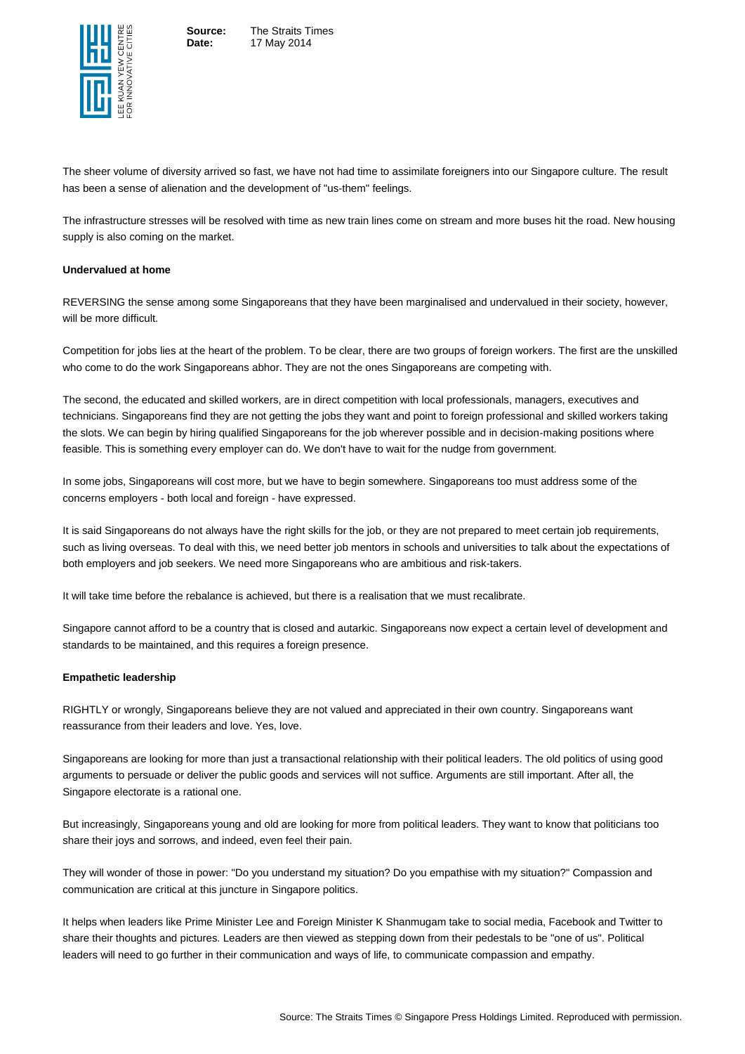

**Source:** The Straits Times **Date:** 17 May 2014

Source: The Straits Times © Singapore Press Holdings Limited. Reproduced with permission.

The sheer volume of diversity arrived so fast, we have not had time to assimilate foreigners into our Singapore culture. The result has been a sense of alienation and the development of "us-them" feelings.

The infrastructure stresses will be resolved with time as new train lines come on stream and more buses hit the road. New housing supply is also coming on the market.

### **Undervalued at home**

REVERSING the sense among some Singaporeans that they have been marginalised and undervalued in their society, however, will be more difficult.

Competition for jobs lies at the heart of the problem. To be clear, there are two groups of foreign workers. The first are the unskilled who come to do the work Singaporeans abhor. They are not the ones Singaporeans are competing with.

The second, the educated and skilled workers, are in direct competition with local professionals, managers, executives and technicians. Singaporeans find they are not getting the jobs they want and point to foreign professional and skilled workers taking the slots. We can begin by hiring qualified Singaporeans for the job wherever possible and in decision-making positions where feasible. This is something every employer can do. We don't have to wait for the nudge from government.

In some jobs, Singaporeans will cost more, but we have to begin somewhere. Singaporeans too must address some of the concerns employers - both local and foreign - have expressed.

It is said Singaporeans do not always have the right skills for the job, or they are not prepared to meet certain job requirements, such as living overseas. To deal with this, we need better job mentors in schools and universities to talk about the expectations of both employers and job seekers. We need more Singaporeans who are ambitious and risk-takers.

It will take time before the rebalance is achieved, but there is a realisation that we must recalibrate.

Singapore cannot afford to be a country that is closed and autarkic. Singaporeans now expect a certain level of development and standards to be maintained, and this requires a foreign presence.

#### **Empathetic leadership**

RIGHTLY or wrongly, Singaporeans believe they are not valued and appreciated in their own country. Singaporeans want reassurance from their leaders and love. Yes, love.

Singaporeans are looking for more than just a transactional relationship with their political leaders. The old politics of using good arguments to persuade or deliver the public goods and services will not suffice. Arguments are still important. After all, the Singapore electorate is a rational one.

But increasingly, Singaporeans young and old are looking for more from political leaders. They want to know that politicians too share their joys and sorrows, and indeed, even feel their pain.

They will wonder of those in power: "Do you understand my situation? Do you empathise with my situation?" Compassion and communication are critical at this juncture in Singapore politics.

It helps when leaders like Prime Minister Lee and Foreign Minister K Shanmugam take to social media, Facebook and Twitter to share their thoughts and pictures. Leaders are then viewed as stepping down from their pedestals to be "one of us". Political leaders will need to go further in their communication and ways of life, to communicate compassion and empathy.